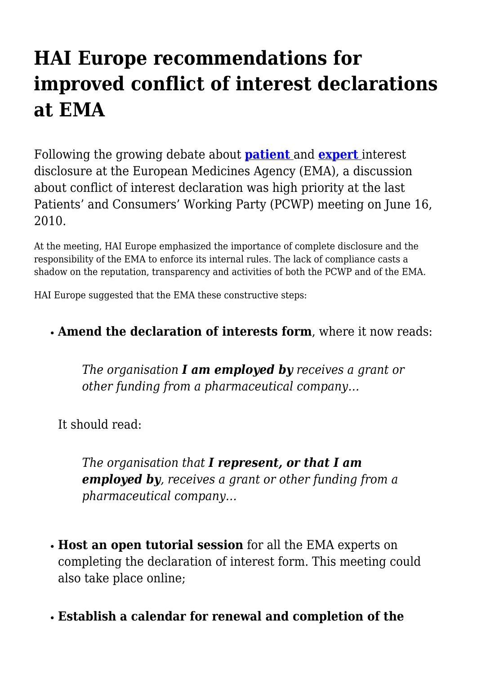## **HAI Europe recommendations for improved conflict of interest declarations at EMA**

Following the growing debate about **[patient](http://haieuropestaffblog.blogspot.com/2010/04/european-medicines-agency-faces-tough_28.html)** [a](http://haieuropestaffblog.blogspot.com/2010/04/european-medicines-agency-faces-tough_28.html)nd **[expert](http://haieuropestaffblog.blogspot.com/2010/06/isdb-mief-criticize-ema-over-conflict.html)** interest disclosure at the European Medicines Agency (EMA), a discussion about conflict of interest declaration was high priority at the last Patients' and Consumers' Working Party (PCWP) meeting on June 16, 2010.

At the meeting, HAI Europe emphasized the importance of complete disclosure and the responsibility of the EMA to enforce its internal rules. The lack of compliance casts a shadow on the reputation, transparency and activities of both the PCWP and of the EMA.

HAI Europe suggested that the EMA these constructive steps:

## **Amend the declaration of interests form**, where it now reads:

*The organisation I am employed by receives a grant or other funding from a pharmaceutical company…*

It should read:

*The organisation that I represent, or that I am employed by, receives a grant or other funding from a pharmaceutical company…*

- **Host an open tutorial session** for all the EMA experts on completing the declaration of interest form. This meeting could also take place online;
- **Establish a calendar for renewal and completion of the**